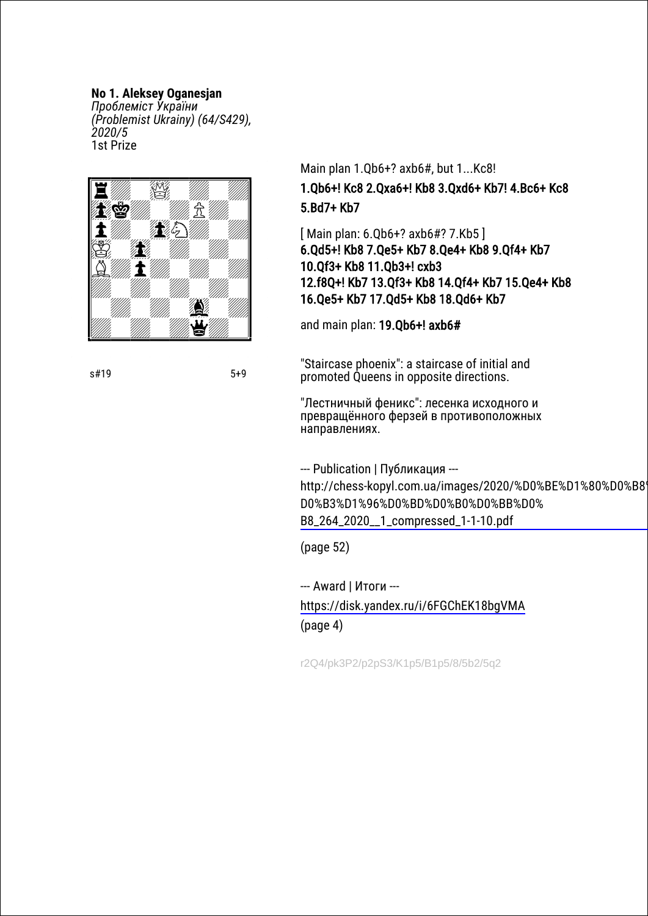#### **No 1. Aleksey Oganesjan**

*Проблеміст України (Problemist Ukrainy) (64/S429), 2020/5* 1st Prize



s#19 5+9

## Main plan 1.Qb6+? axb6#, but 1...Kc8! 1.Qb6+! Kс8 2.Qxa6+! Kb8 3.Qxd6+ Kb7! 4.Bc6+ Kc8 5.Bd7+ Kb7

[ Main plan: 6.Qb6+? axb6#? 7.Kb5 ] 6.Qd5+! Kb8 7.Qe5+ Kb7 8.Qe4+ Kb8 9.Qf4+ Kb7 10.Qf3+ Kb8 11.Qb3+! cxb3 12.f8Q+! Kb7 13.Qf3+ Kb8 14.Qf4+ Kb7 15.Qe4+ Kb8 16.Qe5+ Kb7 17.Qd5+ Kb8 18.Qd6+ Kb7

and main plan: 19.Qb6+! axb6#

"Staircase phoenix": a staircase of initial and promoted Queens in opposite directions.

"Лестничный феникс": лесенка исходного и превращённого ферзей в противоположных направлениях.

--- Publication | Публикация -- [http://chess-kopyl.com.ua/images/2020/%D0%BE%D1%80%D0%B8%](http://chess-kopyl.com.ua/images/2020/%D0%BE%D1%80%D0%B8%D0%B3%D1%96%D0%BD%D0%B0%D0%BB%D0%B8_264_2020__1_compressed_1-1-10.pdf) D0%B3%D1%96%D0%BD%D0%B0%D0%BB%D0% B8\_264\_2020\_\_1\_compressed\_1-1-10.pdf

(page 52)

--- Award | Итоги -- <https://disk.yandex.ru/i/6FGChEK18bgVMA> (page 4)

r2Q4/pk3P2/p2pS3/K1p5/B1p5/8/5b2/5q2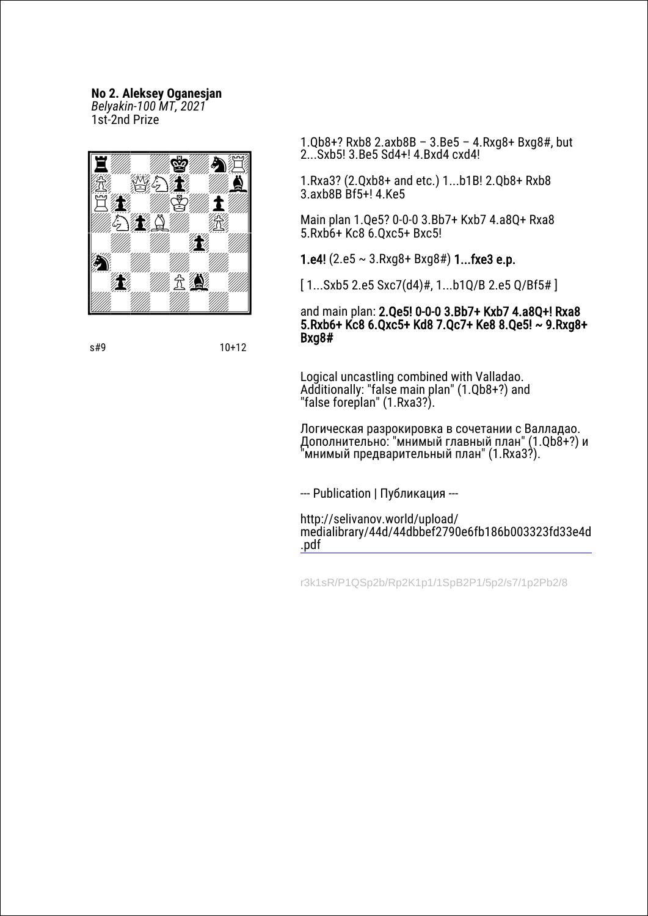### **No 2. Aleksey Oganesjan**

*Belyakin-100 MT, 2021* 1st-2nd Prize



s#9 10+12

1.Qb8+? Rxb8 2.axb8B – 3.Be5 – 4.Rxg8+ Bxg8#, but 2...Sxb5! 3.Be5 Sd4+! 4.Bxd4 cxd4!

1.Rxa3? (2.Qxb8+ and etc.) 1...b1B! 2.Qb8+ Rxb8 3.axb8B Bf5+! 4.Ke5

Main plan 1.Qe5? 0-0-0 3.Bb7+ Kxb7 4.a8Q+ Rxa8 5.Rxb6+ Kc8 6.Qxc5+ Bxc5!

1.e4!  $(2.e5 \sim 3.Rxq8+ Bxq8\#)$  1...fxe3 e.p.

[ 1...Sxb5 2.e5 Sxc7(d4)#, 1...b1Q/B 2.e5 Q/Bf5# ]

#### and main plan: 2.Qe5! 0-0-0 3.Bb7+ Kxb7 4.a8Q+! Rxa8 5.Rxb6+ Kc8 6.Qxc5+ Kd8 7.Qc7+ Ke8 8.Qe5! ~ 9.Rxg8+ Bxg8#

Logical uncastling combined with Valladao. Additionally: "false main plan" (1.Qb8+?) and "false foreplan" (1.Rxa3?).

Логическая разрокировка в сочетании с Валладао. Дополнительно: "мнимый главный план" (1.Qb8+?) и 'мнимый предварительный план" (1.Rxa3?).

--- Publication | Публикация ---

http://selivanov.world/upload/ [medialibrary/44d/44dbbef2790e6fb186b003323fd33e4d](http://selivanov.world/upload/medialibrary/44d/44dbbef2790e6fb186b003323fd33e4d.pdf) .pdf

r3k1sR/P1QSp2b/Rp2K1p1/1SpB2P1/5p2/s7/1p2Pb2/8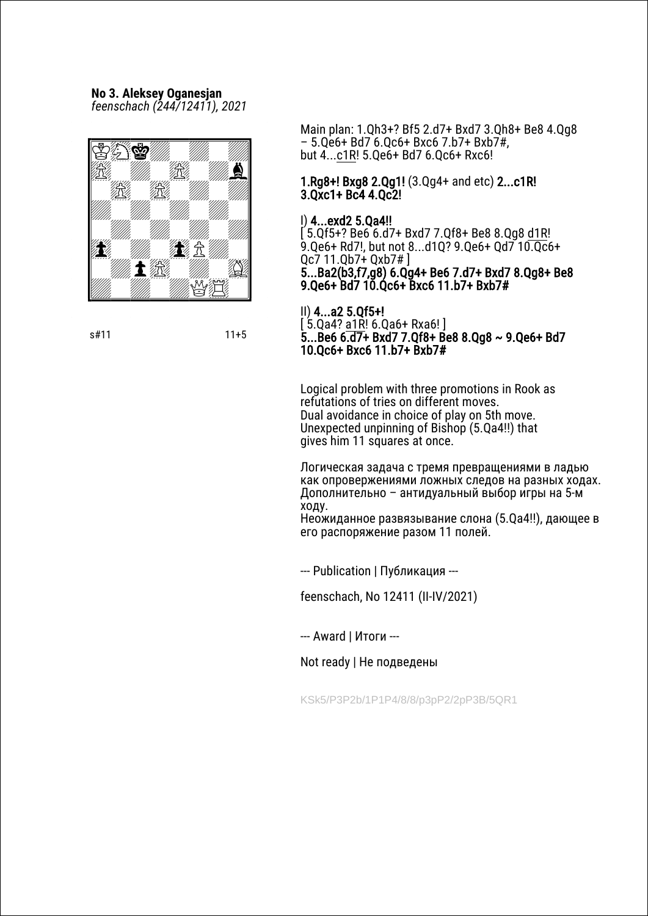# **No 3. Aleksey Oganesjan**

*feenschach (244/12411), 2021*



s#11 11+5

Main plan: 1.Qh3+? Bf5 2.d7+ Bxd7 3.Qh8+ Be8 4.Qg8 – 5.Qe6+ Bd7 6.Qc6+ Bxc6 7.b7+ Bxb7#, but 4...c1R! 5.Qe6+ Bd7 6.Qc6+ Rxc6!

#### 1.Rg8+! Bxg8 2.Qg1! (3.Qg4+ and etc) 2...c1R! 3.Qxc1+ Bc4 4.Qc2!

#### I) 4...exd2 5.Qa4!!

 $(5.0f5 + ?$  Be6 6.d7+ Bxd7 7.0f8+ Be8 8.0q8 d1R! 9.Qe6+ Rd7!, but not 8...d1Q? 9.Qe6+ Qd7 10.Qc6+ Qc7 11.Qb7+ Qxb7# ] 5...Ba2(b3,f7,g8) 6.Qg4+ Be6 7.d7+ Bxd7 8.Qg8+ Be8 9.Qe6+ Bd7 10.Qc6+ Bxc6 11.b7+ Bxb7#

II) 4...a2 5.Qf5+!

[ 5.Qa4? a1R! 6.Qa6+ Rxa6! ] 5...Be6 6.d7+ Bxd7 7.Qf8+ Be8 8.Qg8 ~ 9.Qe6+ Bd7 10.Qc6+ Bxc6 11.b7+ Bxb7#

Logical problem with three promotions in Rook as refutations of tries on different moves. Dual avoidance in choice of play on 5th move. Unexpected unpinning of Bishop (5.Qa4!!) that gives him 11 squares at once.

Логическая задача с тремя превращениями в ладью как опровержениями ложных следов на разных ходах. Дополнительно – антидуальный выбор игры на 5-м ходу. Неожиданное развязывание слона (5.Qa4!!), дающее в

его распоряжение разом 11 полей.

--- Publication | Публикация ---

feenschach, No 12411 (II-IV/2021)

--- Award | Итоги ---

Not ready | Не подведены

KSk5/P3P2b/1P1P4/8/8/p3pP2/2pP3B/5QR1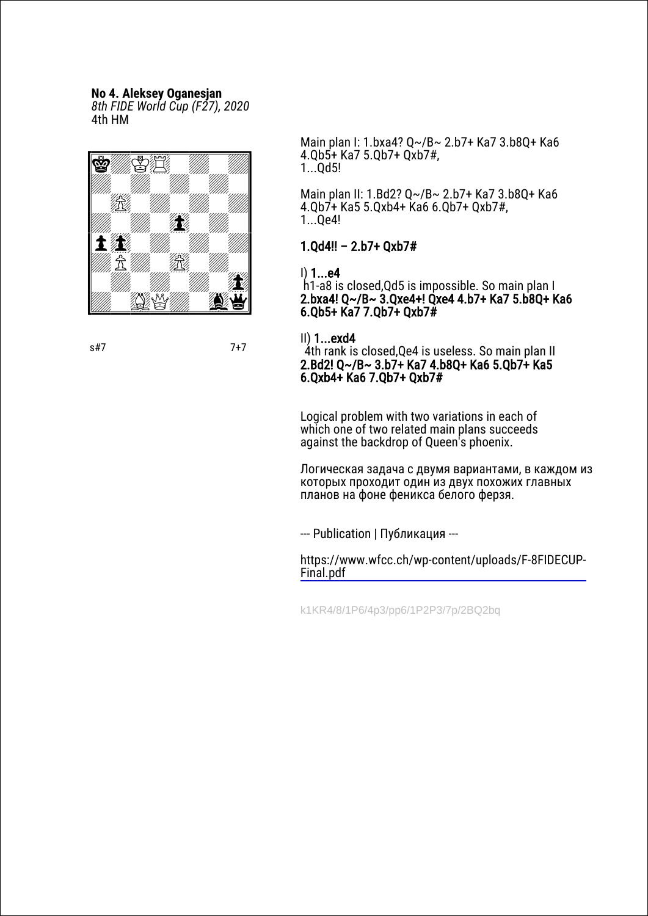#### **No 4. Aleksey Oganesjan**

*8th FIDE World Cup (F27), 2020* 4th HM



s#7 7+7

Main plan I: 1.bxa4? Q~/B~ 2.b7+ Ka7 3.b8Q+ Ka6 4.Qb5+ Ka7 5.Qb7+ Qxb7#, 1...Qd5!

Main plan II: 1.Bd2? Q~/B~ 2.b7+ Ka7 3.b8Q+ Ka6 4.Qb7+ Ka5 5.Qxb4+ Ka6 6.Qb7+ Qxb7#, 1...Qe4!

#### 1.Qd4!! – 2.b7+ Qxb7#

I) 1...e4

h1-a8 is closed,Qd5 is impossible. So main plan I 2.bxa4! Q~/B~ 3.Qxe4+! Qxe4 4.b7+ Ka7 5.b8Q+ Ka6 6.Qb5+ Ka7 7.Qb7+ Qxb7#

II) 1...exd4

4th rank is closed,Qe4 is useless. So main plan II 2.Bd2! Q~/B~ 3.b7+ Ka7 4.b8Q+ Ka6 5.Qb7+ Ka5 6.Qxb4+ Ka6 7.Qb7+ Qxb7#

Logical problem with two variations in each of which one of two related main plans succeeds against the backdrop of Queen's phoenix.

Логическая задача с двумя вариантами, в каждом из которых проходит один из двух похожих главных планов на фоне феникса белого ферзя.

--- Publication | Публикация ---

[https://www.wfcc.ch/wp-content/uploads/F-8FIDECUP-](https://www.wfcc.ch/wp-content/uploads/F-8FIDECUP-Final.pdf)Final.pdf

k1KR4/8/1P6/4p3/pp6/1P2P3/7p/2BQ2bq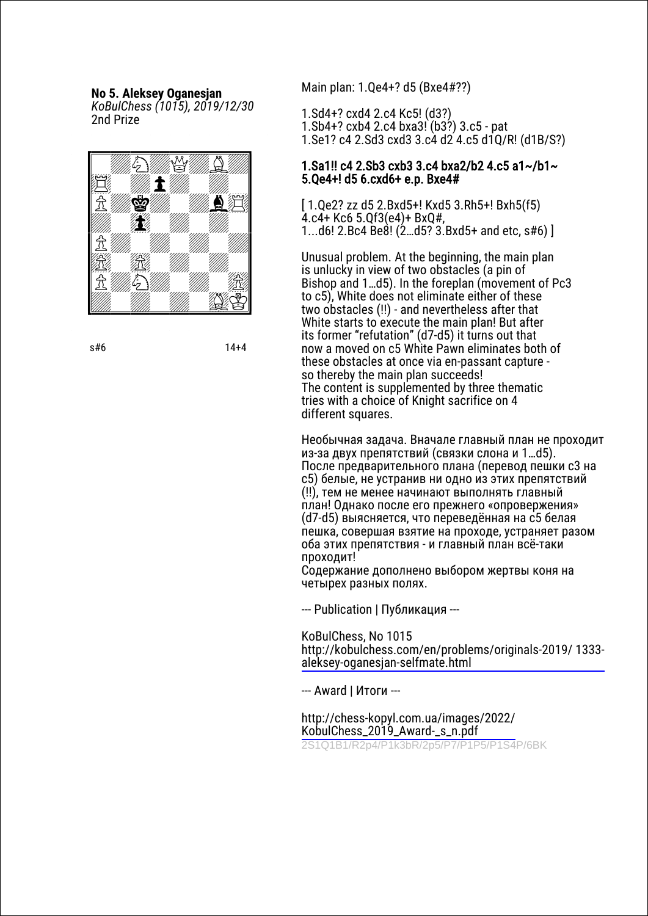**No 5. Aleksey Oganesjan**

*KoBulChess (1015), 2019/12/30* 2nd Prize



s#6 14+4

Main plan: 1.Qe4+? d5 (Bxe4#??)

1.Sd4+? cxd4 2.c4 Kc5! (d3?)

- 1.Sb4+? cxb4 2.c4 bxa3! (b3?) 3.c5 pat
- 1.Se1? c4 2.Sd3 cxd3 3.c4 d2 4.c5 d1Q/R! (d1B/S?)

#### 1.Sa1!! c4 2.Sb3 cxb3 3.c4 bxa2/b2 4.c5 a1~/b1~ 5.Qe4+! d5 6.cxd6+ e.p. Bxe4#

[ 1.Qe2? zz d5 2.Bxd5+! Kxd5 3.Rh5+! Bxh5(f5) 4.c4+ Kc6 5.Qf3(e4)+ BxQ#, 1...d6! 2.Bc4 Be8! (2…d5? 3.Bxd5+ and etc, s#6) ]

Unusual problem. At the beginning, the main plan is unlucky in view of two obstacles (a pin of Bishop and 1…d5). In the foreplan (movement of Pc3 to c5), White does not eliminate either of these two obstacles (!!) - and nevertheless after that White starts to execute the main plan! But after its former "refutation" (d7-d5) it turns out that now a moved on c5 White Pawn eliminates both of these obstacles at once via en-passant capture so thereby the main plan succeeds! The content is supplemented by three thematic tries with a choice of Knight sacrifice on 4 different squares.

Необычная задача. Вначале главный план не проходит из-за двух препятствий (связки слона и 1…d5). После предварительного плана (перевод пешки с3 на с5) белые, не устранив ни одно из этих препятствий (!!), тем не менее начинают выполнять главный план! Однако после его прежнего «опровержения» (d7-d5) выясняется, что переведённая на с5 белая пешка, совершая взятие на проходе, устраняет разом оба этих препятствия - и главный план всё-таки проходит!

Содержание дополнено выбором жертвы коня на четырех разных полях.

--- Publication | Публикация ---

KoBulChess, No 1015

[http://kobulchess.com/en/problems/originals-2019/](http://kobulchess.com/en/problems/originals-2019/ 1333-aleksey-oganesjan-selfmate.html) 1333 aleksey-oganesjan-selfmate.html

--- Award | Итоги ---

[http://chess-kopyl.com.ua/images/2022/](http://chess-kopyl.com.ua/images/2022/KobulChess_2019_Award-_s_n.pdf) KobulChess\_2019\_Award-\_s\_n.pdf 2S1Q1B1/R2p4/P1k3bR/2p5/P7/P1P5/P1S4P/6BK